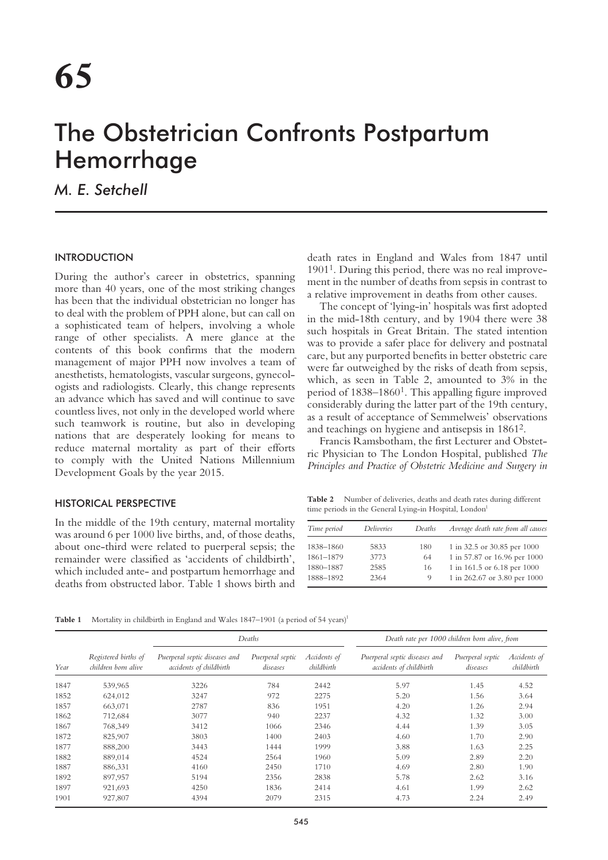# The Obstetrician Confronts Postpartum Hemorrhage

*M. E. Setchell*

## INTRODUCTION

During the author's career in obstetrics, spanning more than 40 years, one of the most striking changes has been that the individual obstetrician no longer has to deal with the problem of PPH alone, but can call on a sophisticated team of helpers, involving a whole range of other specialists. A mere glance at the contents of this book confirms that the modern management of major PPH now involves a team of anesthetists, hematologists, vascular surgeons, gynecologists and radiologists. Clearly, this change represents an advance which has saved and will continue to save countless lives, not only in the developed world where such teamwork is routine, but also in developing nations that are desperately looking for means to reduce maternal mortality as part of their efforts to comply with the United Nations Millennium Development Goals by the year 2015.

## HISTORICAL PERSPECTIVE

In the middle of the 19th century, maternal mortality was around 6 per 1000 live births, and, of those deaths, about one-third were related to puerperal sepsis; the remainder were classified as 'accidents of childbirth', which included ante- and postpartum hemorrhage and deaths from obstructed labor. Table 1 shows birth and

death rates in England and Wales from 1847 until 19011. During this period, there was no real improvement in the number of deaths from sepsis in contrast to a relative improvement in deaths from other causes.

The concept of 'lying-in' hospitals was first adopted in the mid-18th century, and by 1904 there were 38 such hospitals in Great Britain. The stated intention was to provide a safer place for delivery and postnatal care, but any purported benefits in better obstetric care were far outweighed by the risks of death from sepsis, which, as seen in Table 2, amounted to 3% in the period of 1838–18601. This appalling figure improved considerably during the latter part of the 19th century, as a result of acceptance of Semmelweis' observations and teachings on hygiene and antisepsis in 18612.

Francis Ramsbotham, the first Lecturer and Obstetric Physician to The London Hospital, published *The Principles and Practice of Obstetric Medicine and Surgery in*

**Table 2** Number of deliveries, deaths and death rates during different time periods in the General Lying-in Hospital, London<sup>1</sup>

| Time period | <i>Deliveries</i> | Deaths | Average death rate from all causes |  |  |
|-------------|-------------------|--------|------------------------------------|--|--|
| 1838-1860   | 5833              | 180    | 1 in 32.5 or 30.85 per 1000        |  |  |
| 1861-1879   | 3773              | 64     | 1 in 57.87 or 16.96 per 1000       |  |  |
| 1880-1887   | 2585              | 16     | 1 in 161.5 or 6.18 per 1000        |  |  |
| 1888-1892   | 2364              | 9      | 1 in 262.67 or 3.80 per 1000       |  |  |

**Table 1** Mortality in childbirth in England and Wales 1847–1901 (a period of 54 years)<sup>1</sup>

| Year | Registered births of<br>children born alive | Deaths                                                   |                              |                            | Death rate per 1000 children born alive, from            |                              |                            |
|------|---------------------------------------------|----------------------------------------------------------|------------------------------|----------------------------|----------------------------------------------------------|------------------------------|----------------------------|
|      |                                             | Puerperal septic diseases and<br>accidents of childbirth | Puerperal septic<br>diseases | Accidents of<br>childbirth | Puerperal septic diseases and<br>accidents of childbirth | Puerperal septic<br>diseases | Accidents of<br>childbirth |
| 1847 | 539,965                                     | 3226                                                     | 784                          | 2442                       | 5.97                                                     | 1.45                         | 4.52                       |
| 1852 | 624,012                                     | 3247                                                     | 972                          | 2275                       | 5.20                                                     | 1.56                         | 3.64                       |
| 1857 | 663,071                                     | 2787                                                     | 836                          | 1951                       | 4.20                                                     | 1.26                         | 2.94                       |
| 1862 | 712,684                                     | 3077                                                     | 940                          | 2237                       | 4.32                                                     | 1.32                         | 3.00                       |
| 1867 | 768,349                                     | 3412                                                     | 1066                         | 2346                       | 4.44                                                     | 1.39                         | 3.05                       |
| 1872 | 825,907                                     | 3803                                                     | 1400                         | 2403                       | 4.60                                                     | 1.70                         | 2.90                       |
| 1877 | 888,200                                     | 3443                                                     | 1444                         | 1999                       | 3.88                                                     | 1.63                         | 2.25                       |
| 1882 | 889,014                                     | 4524                                                     | 2564                         | 1960                       | 5.09                                                     | 2.89                         | 2.20                       |
| 1887 | 886,331                                     | 4160                                                     | 2450                         | 1710                       | 4.69                                                     | 2.80                         | 1.90                       |
| 1892 | 897,957                                     | 5194                                                     | 2356                         | 2838                       | 5.78                                                     | 2.62                         | 3.16                       |
| 1897 | 921,693                                     | 4250                                                     | 1836                         | 2414                       | 4.61                                                     | 1.99                         | 2.62                       |
| 1901 | 927,807                                     | 4394                                                     | 2079                         | 2315                       | 4.73                                                     | 2.24                         | 2.49                       |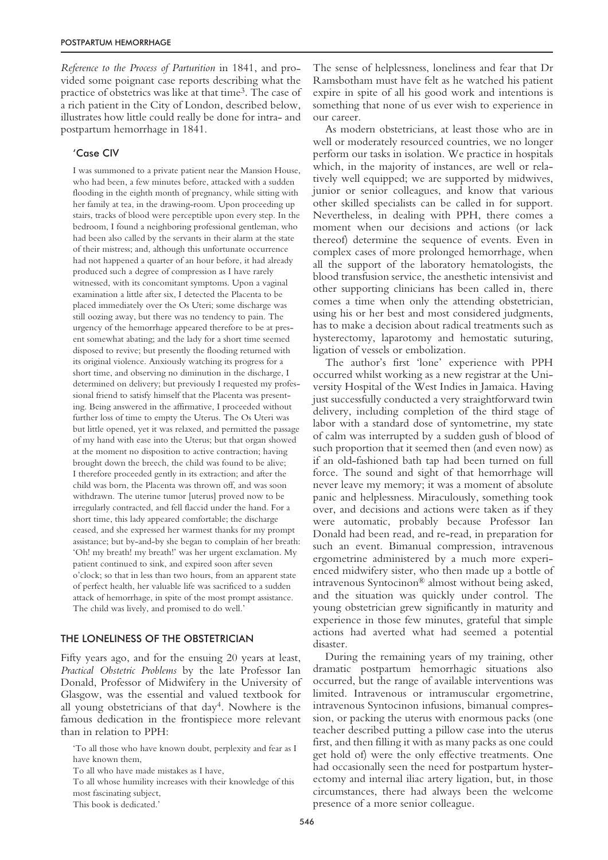*Reference to the Process of Parturition* in 1841, and provided some poignant case reports describing what the practice of obstetrics was like at that time<sup>3</sup>. The case of a rich patient in the City of London, described below, illustrates how little could really be done for intra- and postpartum hemorrhage in 1841.

## 'Case CIV

I was summoned to a private patient near the Mansion House, who had been, a few minutes before, attacked with a sudden flooding in the eighth month of pregnancy, while sitting with her family at tea, in the drawing-room. Upon proceeding up stairs, tracks of blood were perceptible upon every step. In the bedroom, I found a neighboring professional gentleman, who had been also called by the servants in their alarm at the state of their mistress; and, although this unfortunate occurrence had not happened a quarter of an hour before, it had already produced such a degree of compression as I have rarely witnessed, with its concomitant symptoms. Upon a vaginal examination a little after six, I detected the Placenta to be placed immediately over the Os Uteri; some discharge was still oozing away, but there was no tendency to pain. The urgency of the hemorrhage appeared therefore to be at present somewhat abating; and the lady for a short time seemed disposed to revive; but presently the flooding returned with its original violence. Anxiously watching its progress for a short time, and observing no diminution in the discharge, I determined on delivery; but previously I requested my professional friend to satisfy himself that the Placenta was presenting. Being answered in the affirmative, I proceeded without further loss of time to empty the Uterus. The Os Uteri was but little opened, yet it was relaxed, and permitted the passage of my hand with ease into the Uterus; but that organ showed at the moment no disposition to active contraction; having brought down the breech, the child was found to be alive; I therefore proceeded gently in its extraction; and after the child was born, the Placenta was thrown off, and was soon withdrawn. The uterine tumor [uterus] proved now to be irregularly contracted, and fell flaccid under the hand. For a short time, this lady appeared comfortable; the discharge ceased, and she expressed her warmest thanks for my prompt assistance; but by-and-by she began to complain of her breath: 'Oh! my breath! my breath!' was her urgent exclamation. My patient continued to sink, and expired soon after seven o'clock; so that in less than two hours, from an apparent state of perfect health, her valuable life was sacrificed to a sudden attack of hemorrhage, in spite of the most prompt assistance. The child was lively, and promised to do well.'

#### THE LONELINESS OF THE OBSTETRICIAN

Fifty years ago, and for the ensuing 20 years at least, *Practical Obstetric Problems* by the late Professor Ian Donald, Professor of Midwifery in the University of Glasgow, was the essential and valued textbook for all young obstetricians of that day4. Nowhere is the famous dedication in the frontispiece more relevant than in relation to PPH:

To all whose humility increases with their knowledge of this most fascinating subject,

This book is dedicated.'

The sense of helplessness, loneliness and fear that Dr Ramsbotham must have felt as he watched his patient expire in spite of all his good work and intentions is something that none of us ever wish to experience in our career.

As modern obstetricians, at least those who are in well or moderately resourced countries, we no longer perform our tasks in isolation. We practice in hospitals which, in the majority of instances, are well or relatively well equipped; we are supported by midwives, junior or senior colleagues, and know that various other skilled specialists can be called in for support. Nevertheless, in dealing with PPH, there comes a moment when our decisions and actions (or lack thereof) determine the sequence of events. Even in complex cases of more prolonged hemorrhage, when all the support of the laboratory hematologists, the blood transfusion service, the anesthetic intensivist and other supporting clinicians has been called in, there comes a time when only the attending obstetrician, using his or her best and most considered judgments, has to make a decision about radical treatments such as hysterectomy, laparotomy and hemostatic suturing, ligation of vessels or embolization.

The author's first 'lone' experience with PPH occurred whilst working as a new registrar at the University Hospital of the West Indies in Jamaica. Having just successfully conducted a very straightforward twin delivery, including completion of the third stage of labor with a standard dose of syntometrine, my state of calm was interrupted by a sudden gush of blood of such proportion that it seemed then (and even now) as if an old-fashioned bath tap had been turned on full force. The sound and sight of that hemorrhage will never leave my memory; it was a moment of absolute panic and helplessness. Miraculously, something took over, and decisions and actions were taken as if they were automatic, probably because Professor Ian Donald had been read, and re-read, in preparation for such an event. Bimanual compression, intravenous ergometrine administered by a much more experienced midwifery sister, who then made up a bottle of intravenous Syntocinon® almost without being asked, and the situation was quickly under control. The young obstetrician grew significantly in maturity and experience in those few minutes, grateful that simple actions had averted what had seemed a potential disaster.

During the remaining years of my training, other dramatic postpartum hemorrhagic situations also occurred, but the range of available interventions was limited. Intravenous or intramuscular ergometrine, intravenous Syntocinon infusions, bimanual compression, or packing the uterus with enormous packs (one teacher described putting a pillow case into the uterus first, and then filling it with as many packs as one could get hold of) were the only effective treatments. One had occasionally seen the need for postpartum hysterectomy and internal iliac artery ligation, but, in those circumstances, there had always been the welcome presence of a more senior colleague.

<sup>&#</sup>x27;To all those who have known doubt, perplexity and fear as I have known them,

To all who have made mistakes as I have,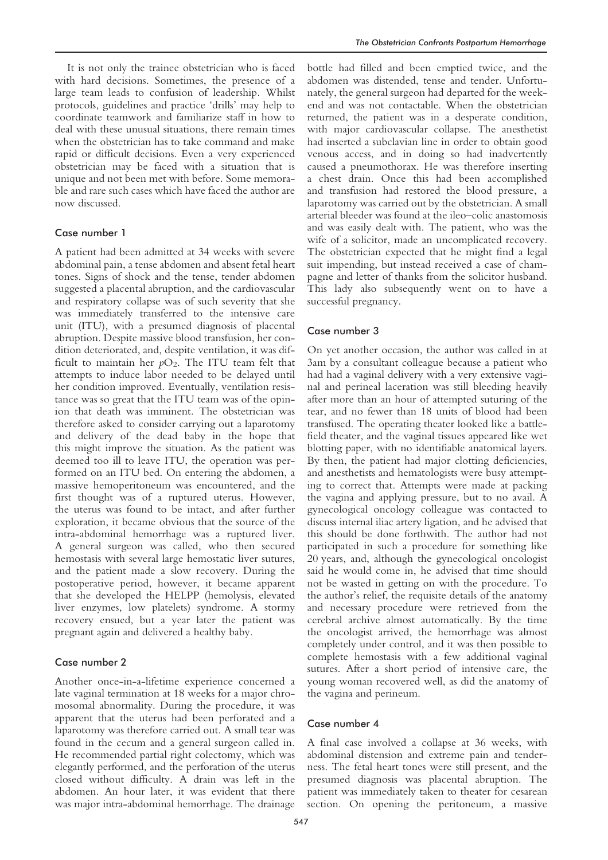It is not only the trainee obstetrician who is faced with hard decisions. Sometimes, the presence of a large team leads to confusion of leadership. Whilst protocols, guidelines and practice 'drills' may help to coordinate teamwork and familiarize staff in how to deal with these unusual situations, there remain times when the obstetrician has to take command and make rapid or difficult decisions. Even a very experienced obstetrician may be faced with a situation that is unique and not been met with before. Some memorable and rare such cases which have faced the author are now discussed.

## Case number 1

A patient had been admitted at 34 weeks with severe abdominal pain, a tense abdomen and absent fetal heart tones. Signs of shock and the tense, tender abdomen suggested a placental abruption, and the cardiovascular and respiratory collapse was of such severity that she was immediately transferred to the intensive care unit (ITU), with a presumed diagnosis of placental abruption. Despite massive blood transfusion, her condition deteriorated, and, despite ventilation, it was difficult to maintain her  $pO_2$ . The ITU team felt that attempts to induce labor needed to be delayed until her condition improved. Eventually, ventilation resistance was so great that the ITU team was of the opinion that death was imminent. The obstetrician was therefore asked to consider carrying out a laparotomy and delivery of the dead baby in the hope that this might improve the situation. As the patient was deemed too ill to leave ITU, the operation was performed on an ITU bed. On entering the abdomen, a massive hemoperitoneum was encountered, and the first thought was of a ruptured uterus. However, the uterus was found to be intact, and after further exploration, it became obvious that the source of the intra-abdominal hemorrhage was a ruptured liver. A general surgeon was called, who then secured hemostasis with several large hemostatic liver sutures, and the patient made a slow recovery. During the postoperative period, however, it became apparent that she developed the HELPP (hemolysis, elevated liver enzymes, low platelets) syndrome. A stormy recovery ensued, but a year later the patient was pregnant again and delivered a healthy baby.

## Case number 2

Another once-in-a-lifetime experience concerned a late vaginal termination at 18 weeks for a major chromosomal abnormality. During the procedure, it was apparent that the uterus had been perforated and a laparotomy was therefore carried out. A small tear was found in the cecum and a general surgeon called in. He recommended partial right colectomy, which was elegantly performed, and the perforation of the uterus closed without difficulty. A drain was left in the abdomen. An hour later, it was evident that there was major intra-abdominal hemorrhage. The drainage

bottle had filled and been emptied twice, and the abdomen was distended, tense and tender. Unfortunately, the general surgeon had departed for the weekend and was not contactable. When the obstetrician returned, the patient was in a desperate condition, with major cardiovascular collapse. The anesthetist had inserted a subclavian line in order to obtain good venous access, and in doing so had inadvertently caused a pneumothorax. He was therefore inserting a chest drain. Once this had been accomplished and transfusion had restored the blood pressure, a laparotomy was carried out by the obstetrician. A small arterial bleeder was found at the ileo–colic anastomosis and was easily dealt with. The patient, who was the wife of a solicitor, made an uncomplicated recovery. The obstetrician expected that he might find a legal suit impending, but instead received a case of champagne and letter of thanks from the solicitor husband. This lady also subsequently went on to have a successful pregnancy.

*The Obstetrician Confronts Postpartum Hemorrhage*

# Case number 3

On yet another occasion, the author was called in at 3am by a consultant colleague because a patient who had had a vaginal delivery with a very extensive vaginal and perineal laceration was still bleeding heavily after more than an hour of attempted suturing of the tear, and no fewer than 18 units of blood had been transfused. The operating theater looked like a battlefield theater, and the vaginal tissues appeared like wet blotting paper, with no identifiable anatomical layers. By then, the patient had major clotting deficiencies, and anesthetists and hematologists were busy attempting to correct that. Attempts were made at packing the vagina and applying pressure, but to no avail. A gynecological oncology colleague was contacted to discuss internal iliac artery ligation, and he advised that this should be done forthwith. The author had not participated in such a procedure for something like 20 years, and, although the gynecological oncologist said he would come in, he advised that time should not be wasted in getting on with the procedure. To the author's relief, the requisite details of the anatomy and necessary procedure were retrieved from the cerebral archive almost automatically. By the time the oncologist arrived, the hemorrhage was almost completely under control, and it was then possible to complete hemostasis with a few additional vaginal sutures. After a short period of intensive care, the young woman recovered well, as did the anatomy of the vagina and perineum.

## Case number 4

A final case involved a collapse at 36 weeks, with abdominal distension and extreme pain and tenderness. The fetal heart tones were still present, and the presumed diagnosis was placental abruption. The patient was immediately taken to theater for cesarean section. On opening the peritoneum, a massive